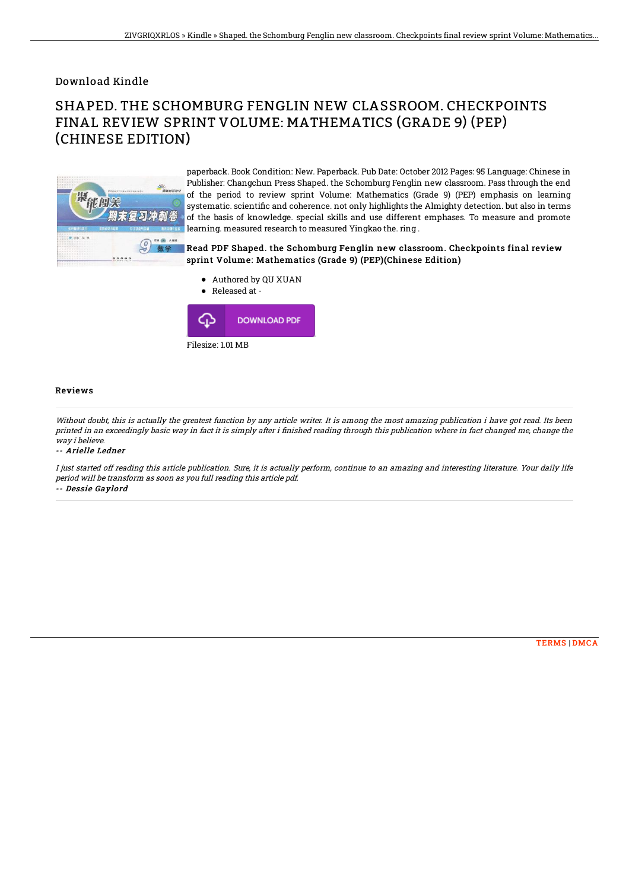Download Kindle

# SHAPED. THE SCHOMBURG FENGLIN NEW CLASSROOM. CHECKPOINTS FINAL REVIEW SPRINT VOLUME: MATHEMATICS (GRADE 9) (PEP) (CHINESE EDITION)



paperback. Book Condition: New. Paperback. Pub Date: October 2012 Pages: 95 Language: Chinese in Publisher: Changchun Press Shaped. the Schomburg Fenglin new classroom. Pass through the end of the period to review sprint Volume: Mathematics (Grade 9) (PEP) emphasis on learning systematic. scientific and coherence. not only highlights the Almighty detection. but also in terms of the basis of knowledge. special skills and use different emphases. To measure and promote learning. measured research to measured Yingkao the. ring .

### Read PDF Shaped. the Schomburg Fenglin new classroom. Checkpoints final review sprint Volume: Mathematics (Grade 9) (PEP)(Chinese Edition)

Authored by QU XUAN

Released at -  $\bullet$ 



#### Reviews

Without doubt, this is actually the greatest function by any article writer. It is among the most amazing publication i have got read. Its been printed in an exceedingly basic way in fact it is simply after i finished reading through this publication where in fact changed me, change the way i believe.

#### -- Arielle Ledner

I just started off reading this article publication. Sure, it is actually perform, continue to an amazing and interesting literature. Your daily life period will be transform as soon as you full reading this article pdf. -- Dessie Gaylord

[TERMS](http://techno-pub.tech/terms.html) | [DMCA](http://techno-pub.tech/dmca.html)